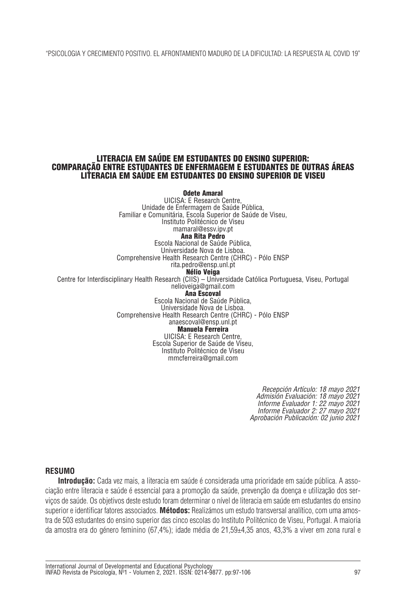"PSICOLOGIA Y CRECIMIENTO POSITIVO. EL AFRONTAMIENTO MADURO DE LA DIFICULTAD: LA RESPUESTA AL COVID 19"

### **LITERACIA EM SAÚDE EM ESTUDANTES DO ENSINO SUPERIOR: COMPARAÇÃO ENTRE ESTUDANTES DE ENFERMAGEM E ESTUDANTES DE OUTRAS ÁREAS LITERACIA EM SAÚDE EM ESTUDANTES DO ENSINO SUPERIOR DE VISEU**

**Odete Amaral** UICISA: E Research Centre, Unidade de Enfermagem de Saúde Pública, Familiar e Comunitária, Escola Superior de Saúde de Viseu, Instituto Politécnico de Viseu mamaral@essv.ipv.pt **Ana Rita Pedro** Escola Nacional de Saúde Pública, Universidade Nova de Lisboa. Comprehensive Health Research Centre (CHRC) - Pólo ENSP rita.pedro@ensp.unl.pt **Nélio Veiga** Centre for Interdisciplinary Health Research (CIIS) – Universidade Católica Portuguesa, Viseu, Portugal nelioveiga@gmail.com **Ana Escoval** Escola Nacional de Saúde Pública, Universidade Nova de Lisboa. Comprehensive Health Research Centre (CHRC) - Pólo ENSP anaescoval@ensp.unl.pt **Manuela Ferreira** UICISA: E Research Centre, Escola Superior de Saúde de Viseu, Instituto Politécnico de Viseu mmcferreira@gmail.com

> *Recepción Artículo: 18 mayo 2021 Admisión Evaluación: 18 mayo 2021 Informe Evaluador 1: 22 mayo 2021 Informe Evaluador 2: 27 mayo 2021 Aprobación Publicación: 02 junio 2021*

## **RESUMO**

**Introdução:** Cada vez mais, a literacia em saúde é considerada uma prioridade em saúde pública. A associação entre literacia e saúde é essencial para a promoção da saúde, prevenção da doença e utilização dos serviços de saúde. Os objetivos deste estudo foram determinar o nível de literacia em saúde em estudantes do ensino superior e identificar fatores associados. **Métodos:** Realizámos um estudo transversal analítico, com uma amostra de 503 estudantes do ensino superior das cinco escolas do Instituto Politécnico de Viseu, Portugal. A maioria da amostra era do género feminino (67,4%); idade média de 21,59±4,35 anos, 43,3% a viver em zona rural e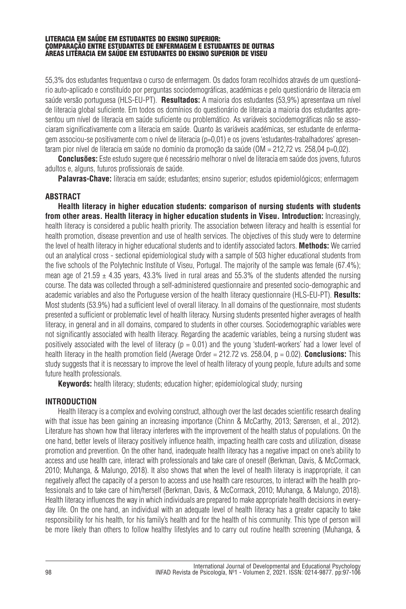55,3% dos estudantes frequentava o curso de enfermagem. Os dados foram recolhidos através de um questionário auto-aplicado e constituído por perguntas sociodemográficas, académicas e pelo questionário de literacia em saúde versão portuguesa (HLS-EU-PT). **Resultados:** A maioria dos estudantes (53,9%) apresentava um nível de literacia global suficiente. Em todos os domínios do questionário de literacia a maioria dos estudantes apresentou um nível de literacia em saúde suficiente ou problemático. As variáveis sociodemográficas não se associaram significativamente com a literacia em saúde. Quanto às variáveis académicas, ser estudante de enfermagem associou-se positivamente com o nível de literacia (p=0,01) e os jovens 'estudantes-trabalhadores' apresentaram pior nível de literacia em saúde no domínio da promoção da saúde (OM = 212,72 vs. 258,04 p=0,02).

**Conclusões:** Este estudo sugere que é necessário melhorar o nível de literacia em saúde dos jovens, futuros adultos e, alguns, futuros profissionais de saúde.

**Palavras-Chave:** literacia em saúde; estudantes; ensino superior; estudos epidemiológicos; enfermagem

## **ABSTRACT**

**Health literacy in higher education students: comparison of nursing students with students from other areas. Health literacy in higher education students in Viseu. Introduction:** Increasingly, health literacy is considered a public health priority. The association between literacy and health is essential for health promotion, disease prevention and use of health services. The objectives of this study were to determine the level of health literacy in higher educational students and to identify associated factors. **Methods:** We carried out an analytical cross - sectional epidemiological study with a sample of 503 higher educational students from the five schools of the Polytechnic Institute of Viseu, Portugal. The majority of the sample was female (67.4%); mean age of 21.59  $\pm$  4.35 years, 43.3% lived in rural areas and 55.3% of the students attended the nursing course. The data was collected through a self-administered questionnaire and presented socio-demographic and academic variables and also the Portuguese version of the health literacy questionnaire (HLS-EU-PT). **Results:** Most students (53.9%) had a sufficient level of overall literacy. In all domains of the questionnaire, most students presented a sufficient or problematic level of health literacy. Nursing students presented higher averages of health literacy, in general and in all domains, compared to students in other courses. Sociodemographic variables were not significantly associated with health literacy. Regarding the academic variables, being a nursing student was positively associated with the level of literacy ( $p = 0.01$ ) and the young 'student-workers' had a lower level of health literacy in the health promotion field (Average Order = 212.72 vs. 258.04, p = 0.02). **Conclusions:** This study suggests that it is necessary to improve the level of health literacy of young people, future adults and some future health professionals.

**Keywords:** health literacy; students; education higher; epidemiological study; nursing

# **INTRODUCTION**

Health literacy is a complex and evolving construct, although over the last decades scientific research dealing with that issue has been gaining an increasing importance (Chinn & McCarthy, 2013; Sørensen, et al., 2012). Literature has shown how that literacy interferes with the improvement of the health status of populations. On the one hand, better levels of literacy positively influence health, impacting health care costs and utilization, disease promotion and prevention. On the other hand, inadequate health literacy has a negative impact on one's ability to access and use health care, interact with professionals and take care of oneself (Berkman, Davis, & McCormack, 2010; Muhanga, & Malungo, 2018). It also shows that when the level of health literacy is inappropriate, it can negatively affect the capacity of a person to access and use health care resources, to interact with the health professionals and to take care of him/herself (Berkman, Davis, & McCormack, 2010; Muhanga, & Malungo, 2018). Health literacy influences the way in which individuals are prepared to make appropriate health decisions in everyday life. On the one hand, an individual with an adequate level of health literacy has a greater capacity to take responsibility for his health, for his family's health and for the health of his community. This type of person will be more likely than others to follow healthy lifestyles and to carry out routine health screening (Muhanga, &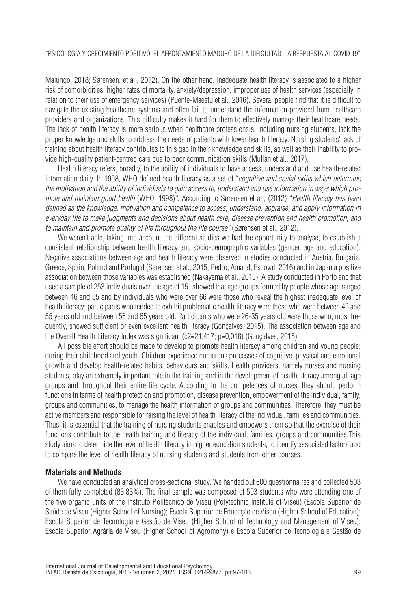Malungo, 2018; Sørensen, et al., 2012). On the other hand, inadequate health literacy is associated to a higher risk of comorbidities, higher rates of mortality, anxiety/depression, improper use of health services (especially in relation to their use of emergency services) (Puente-Maestu et al., 2016). Several people find that it is difficult to navigate the existing healthcare systems and often fail to understand the information provided from healthcare providers and organizations. This difficulty makes it hard for them to effectively manage their healthcare needs. The lack of health literacy is more serious when healthcare professionals, including nursing students, lack the proper knowledge and skills to address the needs of patients with lower health literacy. Nursing students' lack of training about health literacy contributes to this gap in their knowledge and skills, as well as their inability to provide high-quality patient-centred care due to poor communication skills (Mullan et al., 2017).

Health literacy refers, broadly, to the ability of individuals to have access, understand and use health-related information daily. In 1998, WHO defined health literacy as a set of "*cognitive and social skills which determine* the motivation and the ability of individuals to gain access to, understand and use information in ways which pro*mote and maintain good health* (WHO, 1998)*"*. According to Sørensen et al., (2012) "*Health literacy has been defined as the knowledge, motivation and competence to access, understand, appraise, and apply information in everyday life to make judgments and decisions about health care, disease prevention and health promotion, and to maintain and promote quality of life throughout the life course"* (Sørensen et al., 2012).

We weren't able, taking into account the different studies we had the opportunity to analyse, to establish a consistent relationship between health literacy and socio-demographic variables (gender, age and education). Negative associations between age and health literacy were observed in studies conducted in Austria, Bulgaria, Greece, Spain, Poland and Portugal (Sørensen et al., 2015; Pedro, Amaral, Escoval, 2016) and in Japan a positive association between those variables was established (Nakayama et al., 2015). A study conducted in Porto and that used a sample of 253 individuals over the age of 15- showed that age groups formed by people whose age ranged between 46 and 55 and by individuals who were over 66 were those who reveal the highest inadequate level of health literacy; participants who tended to exhibit problematic health literacy were those who were between 46 and 55 years old and between 56 and 65 years old. Participants who were 26-35 years old were those who, most frequently, showed sufficient or even excellent health literacy (Gonçalves, 2015). The association between age and the Overall Health Literacy Index was significant (c2=21,417; p=0,018) (Gonçalves, 2015).

All possible effort should be made to develop to promote health literacy among children and young people; during their childhood and youth. Children experience numerous processes of cognitive, physical and emotional growth and develop health-related habits, behaviours and skills. Health providers, namely nurses and nursing students, play an extremely important role in the training and in the development of health literacy among all age groups and throughout their entire life cycle. According to the competences of nurses, they should perform functions in terms of health protection and promotion, disease prevention, empowerment of the individual, family, groups and communities, to manage the health information of groups and communities. Therefore, they must be active members and responsible for raising the level of health literacy of the individual, families and communities. Thus, it is essential that the training of nursing students enables and empowers them so that the exercise of their functions contribute to the health training and literacy of the individual, families, groups and communities.This study aims to determine the level of health literacy in higher education students, to identify associated factors and to compare the level of health literacy of nursing students and students from other courses.

## **Materials and Methods**

We have conducted an analytical cross-sectional study. We handed out 600 questionnaires and collected 503 of them fully completed (83.83%). The final sample was composed of 503 students who were attending one of the five organic units of the Instituto Politécnico de Viseu (Polytechnic Institute of Viseu) (Escola Superior de Saúde de Viseu (Higher School of Nursing); Escola Superior de Educação de Viseu (Higher School of Education); Escola Superior de Tecnologia e Gestão de Viseu (Higher School of Technology and Management of Viseu); Escola Superior Agrária de Viseu (Higher School of Agromony) e Escola Superior de Tecnologia e Gestão de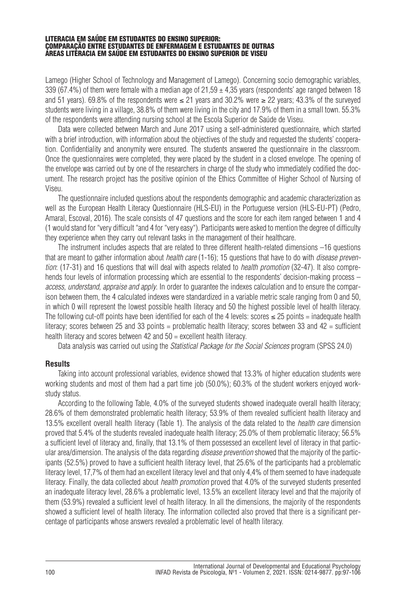Lamego (Higher School of Technology and Management of Lamego). Concerning socio demographic variables, 339 (67.4%) of them were female with a median age of  $21.59 \pm 4.35$  years (respondents' age ranged between 18 and 51 years). 69.8% of the respondents were ≤ 21 years and 30.2% were ≥ 22 years; 43.3% of the surveyed students were living in a village, 38.8% of them were living in the city and 17.9% of them in a small town. 55.3% of the respondents were attending nursing school at the Escola Superior de Saúde de Viseu.

Data were collected between March and June 2017 using a self-administered questionnaire, which started with a brief introduction, with information about the objectives of the study and requested the students' cooperation. Confidentiality and anonymity were ensured. The students answered the questionnaire in the classroom. Once the questionnaires were completed, they were placed by the student in a closed envelope. The opening of the envelope was carried out by one of the researchers in charge of the study who immediately codified the document. The research project has the positive opinion of the Ethics Committee of Higher School of Nursing of Viseu.

The questionnaire included questions about the respondents demographic and academic characterization as well as the European Health Literacy Questionnaire (HLS-EU) in the Portuguese version (HLS-EU-PT) (Pedro, Amaral, Escoval, 2016). The scale consists of 47 questions and the score for each item ranged between 1 and 4 (1 would stand for "very difficult "and 4 for "very easy"). Participants were asked to mention the degree of difficulty they experience when they carry out relevant tasks in the management of their healthcare.

The instrument includes aspects that are related to three different health-related dimensions –16 questions that are meant to gather information about *health care* (1-16); 15 questions that have to do with *disease prevention*: (17-31) and 16 questions that will deal with aspects related to *health promotion* (32-47). It also comprehends four levels of information processing which are essential to the respondents' decision-making process – *access, understand, appraise and apply*. In order to guarantee the indexes calculation and to ensure the comparison between them, the 4 calculated indexes were standardized in a variable metric scale ranging from 0 and 50, in which 0 will represent the lowest possible health literacy and 50 the highest possible level of health literacy. The following cut-off points have been identified for each of the 4 levels: scores  $\leq 25$  points = inadequate health literacy; scores between 25 and 33 points = problematic health literacy; scores between 33 and 42 = sufficient health literacy and scores between 42 and 50 = excellent health literacy.

Data analysis was carried out using the *Statistical Package for the Social Sciences* program (SPSS 24.0)

# **Results**

Taking into account professional variables, evidence showed that 13.3% of higher education students were working students and most of them had a part time job (50.0%); 60.3% of the student workers enjoyed workstudy status.

According to the following Table, 4.0% of the surveyed students showed inadequate overall health literacy; 28.6% of them demonstrated problematic health literacy; 53.9% of them revealed sufficient health literacy and 13.5% excellent overall health literacy (Table 1). The analysis of the data related to the *health care* dimension proved that 5.4% of the students revealed inadequate health literacy; 25.0% of them problematic literacy; 56.5% a sufficient level of literacy and, finally, that 13.1% of them possessed an excellent level of literacy in that particular area/dimension. The analysis of the data regarding *disease prevention* showed that the majority of the participants (52.5%) proved to have a sufficient health literacy level, that 25.6% of the participants had a problematic literacy level, 17,7% of them had an excellent literacy level and that only 4,4% of them seemed to have inadequate literacy. Finally, the data collected about *health promotion* proved that 4.0% of the surveyed students presented an inadequate literacy level, 28.6% a problematic level, 13.5% an excellent literacy level and that the majority of them (53.9%) revealed a sufficient level of health literacy. In all the dimensions, the majority of the respondents showed a sufficient level of health literacy. The information collected also proved that there is a significant percentage of participants whose answers revealed a problematic level of health literacy.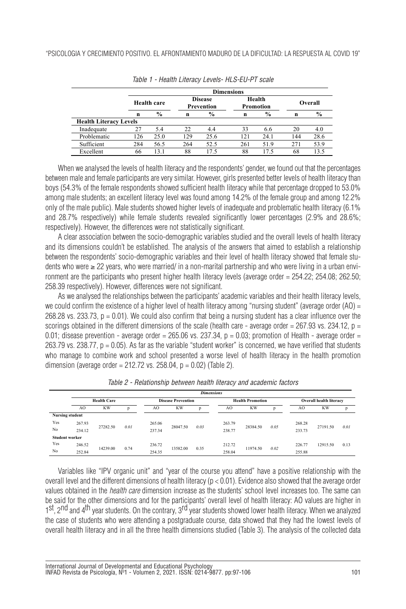|                               |     | <b>Dimensions</b> |             |                              |                     |      |         |      |  |  |  |
|-------------------------------|-----|-------------------|-------------|------------------------------|---------------------|------|---------|------|--|--|--|
|                               |     | Health care       |             | <b>Disease</b><br>Prevention | Health<br>Promotion |      | Overall |      |  |  |  |
|                               | n   | $\frac{6}{6}$     | $\mathbf n$ | $\%$                         | n                   | $\%$ | n       | $\%$ |  |  |  |
| <b>Health Literacy Levels</b> |     |                   |             |                              |                     |      |         |      |  |  |  |
| Inadequate                    | 27  | 5.4               | 22          | 4.4                          | 33                  | 6.6  | 20      | 4.0  |  |  |  |
| Problematic                   | 126 | 25.0              | 129         | 25.6                         | 121                 | 24.1 | 144     | 28.6 |  |  |  |
| Sufficient                    | 284 | 56.5              | 264         | 52.5                         | 261                 | 51.9 | 271     | 53.9 |  |  |  |
| Excellent                     | 66  | 131               | 88          | 175                          | 88                  | 175  | 68      | 135  |  |  |  |

| Table 1 - Health Literacy Levels- HLS-EU-PT scale |  |
|---------------------------------------------------|--|
|---------------------------------------------------|--|

When we analysed the levels of health literacy and the respondents' gender, we found out that the percentages between male and female participants are very similar. However, girls presented better levels of health literacy than boys (54.3% of the female respondents showed sufficient health literacy while that percentage dropped to 53.0% among male students; an excellent literacy level was found among 14.2% of the female group and among 12.2% only of the male public). Male students showed higher levels of inadequate and problematic health literacy (6.1% and 28.7% respectively) while female students revealed significantly lower percentages (2.9% and 28.6%; respectively). However, the differences were not statistically significant.

A clear association between the socio-demographic variables studied and the overall levels of health literacy and its dimensions couldn't be established. The analysis of the answers that aimed to establish a relationship between the respondents' socio-demographic variables and their level of health literacy showed that female students who were ≥ 22 years, who were married/ in a non-marital partnership and who were living in a urban environment are the participants who present higher health literacy levels (average order =  $254.22$ ;  $254.08$ ;  $262.50$ ; 258.39 respectively). However, differences were not significant.

As we analysed the relationships between the participants' academic variables and their health literacy levels, we could confirm the existence of a higher level of health literacy among "nursing student" (average order  $(AO) =$  $268.28$  vs. 233.73,  $p = 0.01$ ). We could also confirm that being a nursing student has a clear influence over the scorings obtained in the different dimensions of the scale (health care - average order =  $267.93$  vs.  $234.12$ ,  $p =$ 0.01; disease prevention - average order = 265.06 vs. 237.34,  $p = 0.03$ ; promotion of Health - average order =  $263.79$  vs.  $238.77$ ,  $p = 0.05$ ). As far as the variable "student worker" is concerned, we have verified that students who manage to combine work and school presented a worse level of health literacy in the health promotion dimension (average order = 212.72 vs. 258.04,  $p = 0.02$ ) (Table 2).

|                        | <b>Dimensions</b> |                    |      |                  |                           |      |        |                         |      |                         |           |      |  |
|------------------------|-------------------|--------------------|------|------------------|---------------------------|------|--------|-------------------------|------|-------------------------|-----------|------|--|
|                        |                   | <b>Health Care</b> |      |                  | <b>Disease Prevention</b> |      |        | <b>Health Promotion</b> |      | Overall health literacy |           |      |  |
|                        | AO                | <b>KW</b>          | D    | AO               | <b>KW</b>                 | p    | AO     | <b>KW</b>               | D    | AO                      | <b>KW</b> | p    |  |
| <b>Nursing student</b> |                   |                    |      |                  |                           |      |        |                         |      |                         |           |      |  |
| Yes                    | 267.93            | 27282.50           |      | 265.06<br>237.34 | 28047.50                  | 0.03 | 263.79 | 28384.50                | 0.05 | 268.28                  | 27191.50  | 0.01 |  |
| No                     | 234.12            |                    | 0.01 |                  |                           |      | 238.77 |                         |      | 233.73                  |           |      |  |
| <b>Student worker</b>  |                   |                    |      |                  |                           |      |        |                         |      |                         |           |      |  |
| Yes                    | 246.52            | 14239.00           |      | 236.72           |                           |      | 212.72 |                         |      | 226.77                  | 12915.50  | 0.13 |  |
| No                     | 252.84            |                    | 0.74 | 254.35           | 13582.00                  | 0.35 | 258.04 | 11974.50                | 0.02 | 255.88                  |           |      |  |

*Table 2 - Relationship between health literacy and academic factors*

Variables like "IPV organic unit" and "year of the course you attend" have a positive relationship with the overall level and the different dimensions of health literacy ( $p < 0.01$ ). Evidence also showed that the average order values obtained in the *health care* dimension increase as the students' school level increases too. The same can be said for the other dimensions and for the participants' overall level of health literacy: AO values are higher in 1st, 2nd and 4<sup>th</sup> year students. On the contrary, 3<sup>rd</sup> year students showed lower health literacy. When we analyzed the case of students who were attending a postgraduate course, data showed that they had the lowest levels of overall health literacy and in all the three health dimensions studied (Table 3). The analysis of the collected data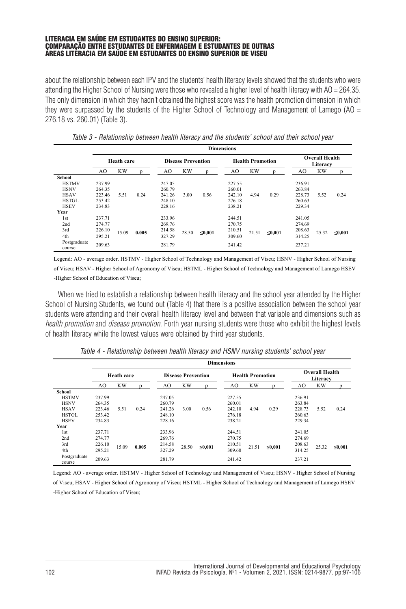about the relationship between each IPV and the students' health literacy levels showed that the students who were attending the Higher School of Nursing were those who revealed a higher level of health literacy with AO = 264.35. The only dimension in which they hadn't obtained the highest score was the health promotion dimension in which they were surpassed by the students of the Higher School of Technology and Management of Lamego (AO  $=$ 276.18 vs. 260.01) (Table 3).

|                                                                                             | <b>Dimensions</b>                              |                   |       |                                                |                           |        |                                                |                         |              |                                                |           |              |
|---------------------------------------------------------------------------------------------|------------------------------------------------|-------------------|-------|------------------------------------------------|---------------------------|--------|------------------------------------------------|-------------------------|--------------|------------------------------------------------|-----------|--------------|
|                                                                                             |                                                | <b>Heath care</b> |       |                                                | <b>Disease Prevention</b> |        |                                                | <b>Health Promotion</b> |              | <b>Overall Health</b><br>Literacy              |           |              |
|                                                                                             | AO                                             | <b>KW</b>         |       | AO                                             | <b>KW</b>                 | n      | AO                                             | <b>KW</b>               |              | AO                                             | <b>KW</b> | n            |
| School<br><b>HSTMV</b><br><b>HSNV</b><br><b>HSAV</b><br><b>HSTGL</b><br><b>HSEV</b><br>Year | 237.99<br>264.35<br>223.46<br>253.42<br>234.83 | 5.51              | 0.24  | 247.05<br>260.79<br>241.26<br>248.10<br>228.16 | 3.00                      | 0.56   | 227.55<br>260.01<br>242.10<br>276.18<br>238.21 | 4.94                    | 0.29         | 236.91<br>263.84<br>228.73<br>260.63<br>229.34 | 5.52      | 0.24         |
| 1 <sub>st</sub><br>2nd<br>3rd<br>4th<br>Postgraduate<br>course                              | 237.71<br>274.77<br>226.10<br>295.21<br>209.63 | 15.09             | 0.005 | 233.96<br>269.76<br>214.58<br>327.29<br>281.79 | 28.50                     | ≤0,001 | 244.51<br>270.75<br>210.51<br>309.60<br>241.42 | 21.51                   | $\leq 0,001$ | 241.05<br>274.69<br>208.63<br>314.25<br>237.21 | 25.32     | $\leq 0.001$ |

*Table 3 - Relationship between health literacy and the students' school and their school year*

Legend: AO - average order. HSTMV - Higher School of Technology and Management of Viseu; HSNV - Higher School of Nursing of Viseu; HSAV - Higher School of Agronomy of Viseu; HSTML - Higher School of Technology and Management of Lamego HSEV -Higher School of Education of Viseu;

When we tried to establish a relationship between health literacy and the school year attended by the Higher School of Nursing Students, we found out (Table 4) that there is a positive association between the school year students were attending and their overall health literacy level and between that variable and dimensions such as *health promotion* and *disease promotion*. Forth year nursing students were those who exhibit the highest levels of health literacy while the lowest values were obtained by third year students.

|                                                                                             | <b>Dimensions</b>                              |           |       |                                                |                           |              |                                                |                         |              |                                                |                                   |        |
|---------------------------------------------------------------------------------------------|------------------------------------------------|-----------|-------|------------------------------------------------|---------------------------|--------------|------------------------------------------------|-------------------------|--------------|------------------------------------------------|-----------------------------------|--------|
|                                                                                             | <b>Heath care</b>                              |           |       |                                                | <b>Disease Prevention</b> |              |                                                | <b>Health Promotion</b> |              |                                                | <b>Overall Health</b><br>Literacy |        |
|                                                                                             | AO                                             | <b>KW</b> |       | AO                                             | <b>KW</b>                 | n            | AO                                             | <b>KW</b>               |              | AO                                             | <b>KW</b>                         | n      |
| School<br><b>HSTMV</b><br><b>HSNV</b><br><b>HSAV</b><br><b>HSTGL</b><br><b>HSEV</b><br>Year | 237.99<br>264.35<br>223.46<br>253.42<br>234.83 | 5.51      | 0.24  | 247.05<br>260.79<br>241.26<br>248.10<br>228.16 | 3.00                      | 0.56         | 227.55<br>260.01<br>242.10<br>276.18<br>238.21 | 4.94                    | 0.29         | 236.91<br>263.84<br>228.73<br>260.63<br>229.34 | 5.52                              | 0.24   |
| 1st<br>2nd<br>3rd<br>4th<br>Postgraduate<br>course                                          | 237.71<br>274.77<br>226.10<br>295.21<br>209.63 | 15.09     | 0.005 | 233.96<br>269.76<br>214.58<br>327.29<br>281.79 | 28.50                     | $\leq 0.001$ | 244.51<br>270.75<br>210.51<br>309.60<br>241.42 | 21.51                   | $\leq 0.001$ | 241.05<br>274.69<br>208.63<br>314.25<br>237.21 | 25.32                             | ≤0,001 |

*Table 4 - Relationship between health literacy and HSNV nursing students' school year*

 -Higher School of Education of Viseu; Legend: AO - average order. HSTMV - Higher School of Technology and Management of Viseu; HSNV - Higher School of Nursing of Viseu; HSAV - Higher School of Agronomy of Viseu; HSTML - Higher School of Technology and Management of Lamego HSEV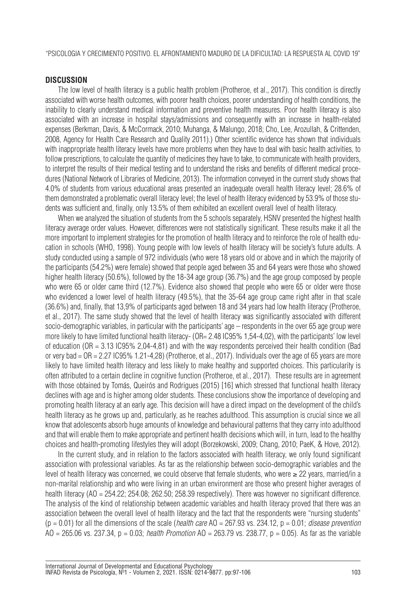"PSICOLOGIA Y CRECIMIENTO POSITIVO. EL AFRONTAMIENTO MADURO DE LA DIFICULTAD: LA RESPUESTA AL COVID 19"

## **DISCUSSION**

The low level of health literacy is a public health problem (Protheroe, et al., 2017). This condition is directly associated with worse health outcomes, with poorer health choices, poorer understanding of health conditions, the inability to clearly understand medical information and preventive health measures. Poor health literacy is also associated with an increase in hospital stays/admissions and consequently with an increase in health-related expenses (Berkman, Davis, & McCormack, 2010; Muhanga, & Malungo, 2018; Cho, Lee, Arozullah, & Crittenden, 2008, Agency for Health Care Research and Quality 2011).) Other scientific evidence has shown that individuals with inappropriate health literacy levels have more problems when they have to deal with basic health activities, to follow prescriptions, to calculate the quantity of medicines they have to take, to communicate with health providers, to interpret the results of their medical testing and to understand the risks and benefits of different medical procedures (National Network of Libraries of Medicine, 2013). The information conveyed in the current study shows that 4.0% of students from various educational areas presented an inadequate overall health literacy level; 28.6% of them demonstrated a problematic overall literacy level; the level of health literacy evidenced by 53.9% of those students was sufficient and, finally, only 13.5% of them exhibited an excellent overall level of health literacy.

When we analyzed the situation of students from the 5 schools separately, HSNV presented the highest health literacy average order values. However, differences were not statistically significant. These results make it all the more important to implement strategies for the promotion of health literacy and to reinforce the role of health education in schools (WHO, 1998). Young people with low levels of health literacy will be society's future adults. A study conducted using a sample of 972 individuals (who were 18 years old or above and in which the majority of the participants (54.2%) were female) showed that people aged between 35 and 64 years were those who showed higher health literacy (50.6%), followed by the 18-34 age group (36.7%) and the age group composed by people who were 65 or older came third (12.7%). Evidence also showed that people who were 65 or older were those who evidenced a lower level of health literacy (49.5%), that the 35-64 age group came right after in that scale (36.6%) and, finally, that 13,9% of participants aged between 18 and 34 years had low health literacy (Protheroe, et al., 2017). The same study showed that the level of health literacy was significantly associated with different socio-demographic variables, in particular with the participants' age – respondents in the over 65 age group were more likely to have limited functional health literacy- (OR= 2.48 IC95% 1.54-4.02), with the participants' low level of education (OR = 3.13 IC95% 2,04-4,81) and with the way respondents perceived their health condition (Bad or very bad  $=$  OR  $=$  2.27 IC95% 1.21-4,28) (Protheroe, et al., 2017). Individuals over the age of 65 years are more likely to have limited health literacy and less likely to make healthy and supported choices. This particularity is often attributed to a certain decline in cognitive function (Protheroe, et al., 2017). These results are in agreement with those obtained by Tomás, Queirós and Rodrigues (2015) [16] which stressed that functional health literacy declines with age and is higher among older students. These conclusions show the importance of developing and promoting health literacy at an early age. This decision will have a direct impact on the development of the child's health literacy as he grows up and, particularly, as he reaches adulthood. This assumption is crucial since we all know that adolescents absorb huge amounts of knowledge and behavioural patterns that they carry into adulthood and that will enable them to make appropriate and pertinent health decisions which will, in turn, lead to the healthy choices and health-promoting lifestyles they will adopt (Borzekowski, 2009; Chang, 2010; PaeK, & Hove, 2012).

In the current study, and in relation to the factors associated with health literacy, we only found significant association with professional variables. As far as the relationship between socio-demographic variables and the level of health literacy was concerned, we could observe that female students, who were  $\geq 22$  years, married/in a non-marital relationship and who were living in an urban environment are those who present higher averages of health literacy (AO = 254.22; 254.08; 262.50; 258.39 respectively). There was however no significant difference. The analysis of the kind of relationship between academic variables and health literacy proved that there was an association between the overall level of health literacy and the fact that the respondents were "nursing students"  $(p = 0.01)$  for all the dimensions of the scale (*health care*  $AO = 267.93$  vs. 234.12,  $p = 0.01$ ; *disease prevention* AO = 265.06 vs. 237.34, p = 0.03; *health Promotion* AO = 263.79 vs. 238.77, p = 0.05). As far as the variable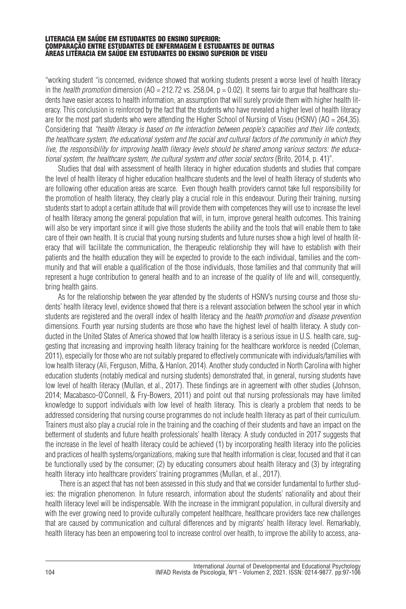"working student "is concerned, evidence showed that working students present a worse level of health literacy in the *health promotion* dimension (AO = 212.72 vs. 258.04,  $p = 0.02$ ). It seems fair to arque that healthcare students have easier access to health information, an assumption that will surely provide them with higher health literacy. This conclusion is reinforced by the fact that the students who have revealed a higher level of health literacy are for the most part students who were attending the Higher School of Nursing of Viseu (HSNV) (AO = 264,35). Considering that *"health literacy is based on the interaction between people's capacities and their life contexts,* the healthcare system, the educational system and the social and cultural factors of the community in which they live, the responsibility for improving health literacy levels should be shared among various sectors; the educa*tional system, the healthcare system, the cultural system and other social sectors* (Brito, 2014, p. 41)".

Studies that deal with assessment of health literacy in higher education students and studies that compare the level of health literacy of higher education healthcare students and the level of health literacy of students who are following other education areas are scarce. Even though health providers cannot take full responsibility for the promotion of health literacy, they clearly play a crucial role in this endeavour. During their training, nursing students start to adopt a certain attitude that will provide them with competences they will use to increase the level of health literacy among the general population that will, in turn, improve general health outcomes. This training will also be very important since it will give those students the ability and the tools that will enable them to take care of their own health. It is crucial that young nursing students and future nurses show a high level of health literacy that will facilitate the communication, the therapeutic relationship they will have to establish with their patients and the health education they will be expected to provide to the each individual, families and the community and that will enable a qualification of the those individuals, those families and that community that will represent a huge contribution to general health and to an increase of the quality of life and will, consequently, bring health gains.

As for the relationship between the year attended by the students of HSNV's nursing course and those students' health literacy level, evidence showed that there is a relevant association between the school year in which students are registered and the overall index of health literacy and the *health promotion* and *disease prevention* dimensions. Fourth year nursing students are those who have the highest level of health literacy. A study conducted in the United States of America showed that low health literacy is a serious issue in U.S. health care, suggesting that increasing and improving health literacy training for the healthcare workforce is needed (Coleman, 2011), especially for those who are not suitably prepared to effectively communicate with individuals/families with low health literacy(Ali, Ferguson, Mitha, & Hanlon, 2014). Anotherstudyconducted in North Carolina with higher education students (notably medical and nursing students) demonstrated that, in general, nursing students have low level of health literacy (Mullan, et al., 2017). These findings are in agreement with other studies (Johnson, 2014; Macabasco-O'Connell, & Fry-Bowers, 2011) and point out that nursing professionals may have limited knowledge to support individuals with low level of health literacy. This is clearly a problem that needs to be addressed considering that nursing course programmes do not include health literacy as part of their curriculum. Trainers must also play a crucial role in the training and the coaching of their students and have an impact on the betterment of students and future health professionals' health literacy. A study conducted in 2017 suggests that the increase in the level of health literacy could be achieved (1) by incorporating health literacy into the policies and practices of health systems/organizations, making sure that health information is clear, focused and that it can be functionally used by the consumer; (2) by educating consumers about health literacy and (3) by integrating health literacy into healthcare providers' training programmes (Mullan, et al., 2017).

There is an aspect that has not been assessed in this study and that we consider fundamental to further studies: the migration phenomenon. In future research, information about the students' nationality and about their health literacy level will be indispensable. With the increase in the immigrant population, in cultural diversity and with the ever growing need to provide culturally competent healthcare, healthcare providers face new challenges that are caused by communication and cultural differences and by migrants' health literacy level. Remarkably, health literacy has been an empowering tool to increase control over health, to improve the ability to access, ana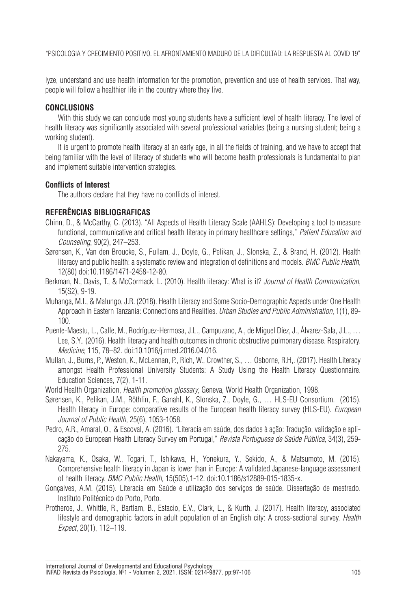"PSICOLOGIA Y CRECIMIENTO POSITIVO. EL AFRONTAMIENTO MADURO DE LA DIFICULTAD: LA RESPUESTA AL COVID 19"

lyze, understand and use health information for the promotion, prevention and use of health services. That way, people will follow a healthier life in the country where they live.

## **CONCLUSIONS**

With this study we can conclude most young students have a sufficient level of health literacy. The level of health literacy was significantly associated with several professional variables (being a nursing student; being a working student).

It is urgent to promote health literacy at an early age, in all the fields of training, and we have to accept that being familiar with the level of literacy of students who will become health professionals is fundamental to plan and implement suitable intervention strategies.

# **Conflicts of Interest**

The authors declare that they have no conflicts of interest.

# **REFERÊNCIAS BIBLIOGRAFICAS**

- Chinn, D., & McCarthy, C. (2013). "All Aspects of Health Literacy Scale (AAHLS): Developing a tool to measure functional, communicative and critical health literacy in primary healthcare settings," *Patient Education and Counseling*, 90(2), 247–253.
- Sørensen, K., Van den Broucke, S., Fullam, J., Doyle, G., Pelikan, J., Slonska, Z., & Brand, H. (2012). Health literacy and public health: a systematic review and integration of definitions and models. *BMC Public Health*, 12(80) doi:10.1186/1471-2458-12-80.
- Berkman, N., Davis, T., & McCormack, L. (2010). Health literacy: What is it? *Journal of Health Communication*, 15(S2), 9-19.
- Muhanga, M.I., & Malungo,J.R. (2018). Health Literacyand Some Socio-Demographic Aspects under One Health Approach in Eastern Tanzania: Connections and Realities. *Urban Studies and Public Administration*, 1(1), 89- 100.
- Puente-Maestu, L., Calle, M., Rodríguez-Hermosa, J.L., Campuzano, A., de Miguel Díez, J., Álvarez-Sala, J.L., … Lee, S.Y,. (2016). Health literacy and health outcomes in chronic obstructive pulmonary disease. Respiratory. *Medicine,* 115, 78–82. doi:10.1016/j.rmed.2016.04.016.
- Mullan, J., Burns, P., Weston, K., McLennan, P., Rich, W., Crowther, S., … Osborne, R.H,. (2017). Health Literacy amongst Health Professional University Students: A Study Using the Health Literacy Questionnaire. Education Sciences, 7(2), 1-11.
- World Health Organization, *Health promotion glossary*, Geneva, World Health Organization, 1998.
- Sørensen, K., Pelikan, J.M., Röthlin, F., Ganahl, K., Slonska, Z., Doyle, G., … HLS-EU Consortium. (2015). Health literacy in Europe: comparative results of the European health literacy survey (HLS-EU). *European Journal of Public Health*, 25(6), 1053-1058.
- Pedro, A.R., Amaral, O., & Escoval, A. (2016). "Literacia em saúde, dos dados à ação: Tradução, validação e aplicação do European Health Literacy Survey em Portugal," *Revista Portuguesa de Saúde Pública,* 34(3), 259- 275.
- Nakayama, K., Osaka, W., Togari, T., Ishikawa, H., Yonekura, Y., Sekido, A., & Matsumoto, M. (2015). Comprehensive health literacy in Japan is lower than in Europe: A validated Japanese-language assessment of health literacy. *BMC Public Health,* 15(505),1-12. doi:10.1186/s12889-015-1835-x.
- Gonçalves, A.M. (2015). Literacia em Saúde e utilização dos serviços de saúde. Dissertação de mestrado. Instituto Politécnico do Porto, Porto.
- Protheroe, J., Whittle, R., Bartlam, B., Estacio, E.V., Clark, L., & Kurth, J. (2017). Health literacy, associated lifestyle and demographic factors in adult population of an English city: A cross-sectional survey. *Health Expect*, 20(1), 112–119.